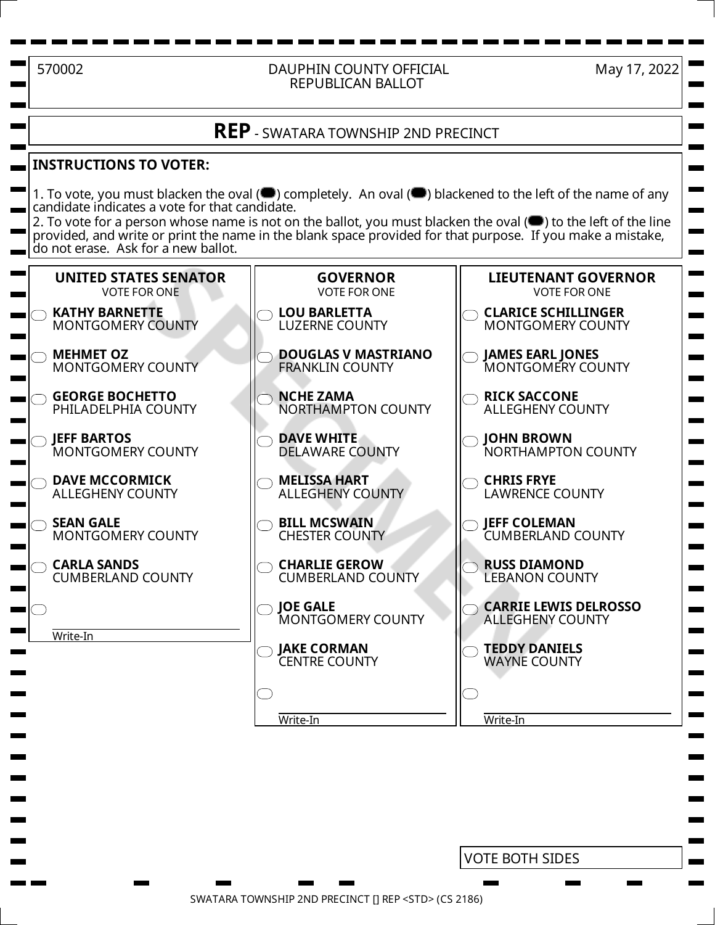## 570002 DAUPHIN COUNTY OFFICIAL REPUBLICAN BALLOT

May 17, 2022



VOTE BOTH SIDES